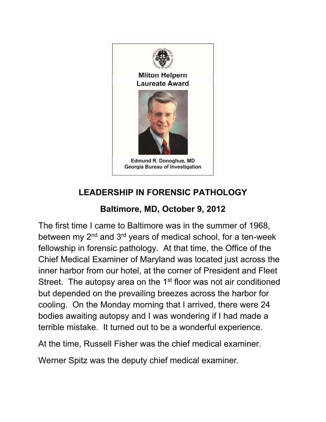

## **Laureate Award**



**Edmund R. Donoghue, MD Georgia Bureau of Investigation** 

## **LEADERSHIP IN FORENSIC PATHOLOGY**

## **Baltimore, MD, October 9, 2012**

The first time I came to Baltimore was in the summer of 1968, between my 2<sup>nd</sup> and 3<sup>rd</sup> years of medical school, for a ten-week fellowship in forensic pathology. At that time, the Office of the Chief Medical Examiner of Maryland was located just across the inner harbor from our hotel, at the corner of President and Fleet Street. The autopsy area on the 1<sup>st</sup> floor was not air conditioned but depended on the prevailing breezes across the harbor for cooling. On the Monday morning that I arrived, there were 24 bodies awaiting autopsy and I was wondering if I had made a terrible mistake. It turned out to be a wonderful experience.

At the time, Russell Fisher was the chief medical examiner.

Werner Spitz was the deputy chief medical examiner.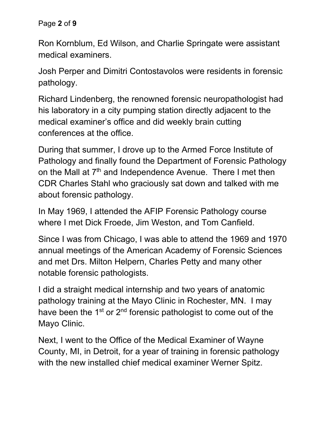Page **2** of **9**

Ron Kornblum, Ed Wilson, and Charlie Springate were assistant medical examiners.

Josh Perper and Dimitri Contostavolos were residents in forensic pathology.

Richard Lindenberg, the renowned forensic neuropathologist had his laboratory in a city pumping station directly adjacent to the medical examiner's office and did weekly brain cutting conferences at the office.

During that summer, I drove up to the Armed Force Institute of Pathology and finally found the Department of Forensic Pathology on the Mall at  $7<sup>th</sup>$  and Independence Avenue. There I met then CDR Charles Stahl who graciously sat down and talked with me about forensic pathology.

In May 1969, I attended the AFIP Forensic Pathology course where I met Dick Froede, Jim Weston, and Tom Canfield.

Since I was from Chicago, I was able to attend the 1969 and 1970 annual meetings of the American Academy of Forensic Sciences and met Drs. Milton Helpern, Charles Petty and many other notable forensic pathologists.

I did a straight medical internship and two years of anatomic pathology training at the Mayo Clinic in Rochester, MN. I may have been the 1<sup>st</sup> or 2<sup>nd</sup> forensic pathologist to come out of the Mayo Clinic.

Next, I went to the Office of the Medical Examiner of Wayne County, MI, in Detroit, for a year of training in forensic pathology with the new installed chief medical examiner Werner Spitz.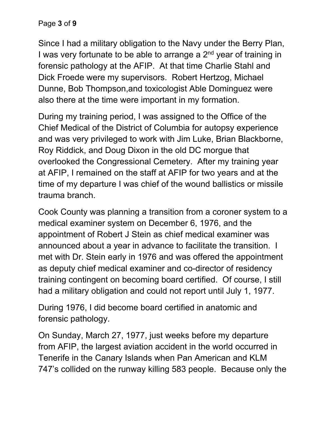Page **3** of **9**

Since I had a military obligation to the Navy under the Berry Plan, I was very fortunate to be able to arrange a  $2<sup>nd</sup>$  year of training in forensic pathology at the AFIP. At that time Charlie Stahl and Dick Froede were my supervisors. Robert Hertzog, Michael Dunne, Bob Thompson,and toxicologist Able Dominguez were also there at the time were important in my formation.

During my training period, I was assigned to the Office of the Chief Medical of the District of Columbia for autopsy experience and was very privileged to work with Jim Luke, Brian Blackborne, Roy Riddick, and Doug Dixon in the old DC morgue that overlooked the Congressional Cemetery. After my training year at AFIP, I remained on the staff at AFIP for two years and at the time of my departure I was chief of the wound ballistics or missile trauma branch.

Cook County was planning a transition from a coroner system to a medical examiner system on December 6, 1976, and the appointment of Robert J Stein as chief medical examiner was announced about a year in advance to facilitate the transition. I met with Dr. Stein early in 1976 and was offered the appointment as deputy chief medical examiner and co-director of residency training contingent on becoming board certified. Of course, I still had a military obligation and could not report until July 1, 1977.

During 1976, I did become board certified in anatomic and forensic pathology.

On Sunday, March 27, 1977, just weeks before my departure from AFIP, the largest aviation accident in the world occurred in Tenerife in the Canary Islands when Pan American and KLM 747's collided on the runway killing 583 people. Because only the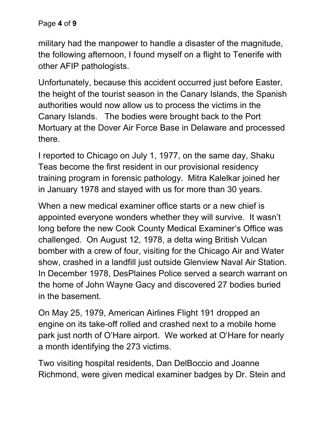Page **4** of **9**

military had the manpower to handle a disaster of the magnitude, the following afternoon, I found myself on a flight to Tenerife with other AFIP pathologists.

Unfortunately, because this accident occurred just before Easter, the height of the tourist season in the Canary Islands, the Spanish authorities would now allow us to process the victims in the Canary Islands. The bodies were brought back to the Port Mortuary at the Dover Air Force Base in Delaware and processed there.

I reported to Chicago on July 1, 1977, on the same day, Shaku Teas become the first resident in our provisional residency training program in forensic pathology. Mitra Kalelkar joined her in January 1978 and stayed with us for more than 30 years.

When a new medical examiner office starts or a new chief is appointed everyone wonders whether they will survive. It wasn't long before the new Cook County Medical Examiner's Office was challenged. On August 12, 1978, a delta wing British Vulcan bomber with a crew of four, visiting for the Chicago Air and Water show, crashed in a landfill just outside Glenview Naval Air Station. In December 1978, DesPlaines Police served a search warrant on the home of John Wayne Gacy and discovered 27 bodies buried in the basement.

On May 25, 1979, American Airlines Flight 191 dropped an engine on its take-off rolled and crashed next to a mobile home park just north of O'Hare airport. We worked at O'Hare for nearly a month identifying the 273 victims.

Two visiting hospital residents, Dan DelBoccio and Joanne Richmond, were given medical examiner badges by Dr. Stein and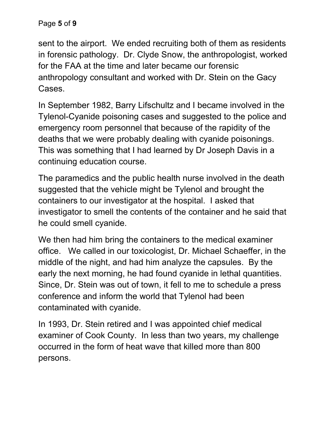sent to the airport. We ended recruiting both of them as residents in forensic pathology. Dr. Clyde Snow, the anthropologist, worked for the FAA at the time and later became our forensic anthropology consultant and worked with Dr. Stein on the Gacy Cases.

In September 1982, Barry Lifschultz and I became involved in the Tylenol-Cyanide poisoning cases and suggested to the police and emergency room personnel that because of the rapidity of the deaths that we were probably dealing with cyanide poisonings. This was something that I had learned by Dr Joseph Davis in a continuing education course.

The paramedics and the public health nurse involved in the death suggested that the vehicle might be Tylenol and brought the containers to our investigator at the hospital. I asked that investigator to smell the contents of the container and he said that he could smell cyanide.

We then had him bring the containers to the medical examiner office. We called in our toxicologist, Dr. Michael Schaeffer, in the middle of the night, and had him analyze the capsules. By the early the next morning, he had found cyanide in lethal quantities. Since, Dr. Stein was out of town, it fell to me to schedule a press conference and inform the world that Tylenol had been contaminated with cyanide.

In 1993, Dr. Stein retired and I was appointed chief medical examiner of Cook County. In less than two years, my challenge occurred in the form of heat wave that killed more than 800 persons.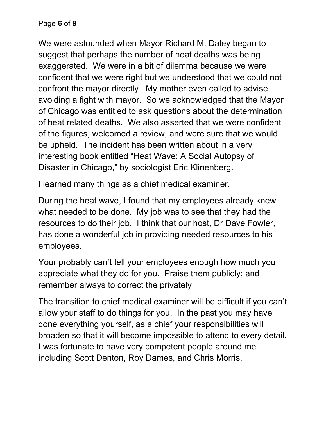We were astounded when Mayor Richard M. Daley began to suggest that perhaps the number of heat deaths was being exaggerated. We were in a bit of dilemma because we were confident that we were right but we understood that we could not confront the mayor directly. My mother even called to advise avoiding a fight with mayor. So we acknowledged that the Mayor of Chicago was entitled to ask questions about the determination of heat related deaths. We also asserted that we were confident of the figures, welcomed a review, and were sure that we would be upheld. The incident has been written about in a very interesting book entitled "Heat Wave: A Social Autopsy of Disaster in Chicago," by sociologist Eric Klinenberg.

I learned many things as a chief medical examiner.

During the heat wave, I found that my employees already knew what needed to be done. My job was to see that they had the resources to do their job. I think that our host, Dr Dave Fowler, has done a wonderful job in providing needed resources to his employees.

Your probably can't tell your employees enough how much you appreciate what they do for you. Praise them publicly; and remember always to correct the privately.

The transition to chief medical examiner will be difficult if you can't allow your staff to do things for you. In the past you may have done everything yourself, as a chief your responsibilities will broaden so that it will become impossible to attend to every detail. I was fortunate to have very competent people around me including Scott Denton, Roy Dames, and Chris Morris.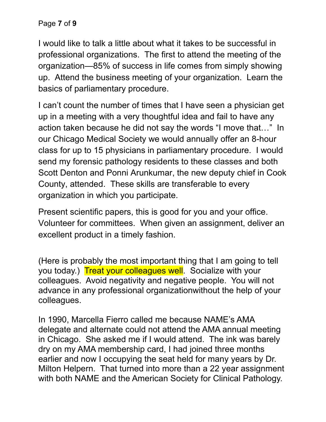I would like to talk a little about what it takes to be successful in professional organizations. The first to attend the meeting of the organization—85% of success in life comes from simply showing up. Attend the business meeting of your organization. Learn the basics of parliamentary procedure.

I can't count the number of times that I have seen a physician get up in a meeting with a very thoughtful idea and fail to have any action taken because he did not say the words "I move that…" In our Chicago Medical Society we would annually offer an 8-hour class for up to 15 physicians in parliamentary procedure. I would send my forensic pathology residents to these classes and both Scott Denton and Ponni Arunkumar, the new deputy chief in Cook County, attended. These skills are transferable to every organization in which you participate.

Present scientific papers, this is good for you and your office. Volunteer for committees. When given an assignment, deliver an excellent product in a timely fashion.

(Here is probably the most important thing that I am going to tell you today.) Treat your colleagues well. Socialize with your colleagues. Avoid negativity and negative people. You will not advance in any professional organizationwithout the help of your colleagues.

In 1990, Marcella Fierro called me because NAME's AMA delegate and alternate could not attend the AMA annual meeting in Chicago. She asked me if I would attend. The ink was barely dry on my AMA membership card, I had joined three months earlier and now I occupying the seat held for many years by Dr. Milton Helpern. That turned into more than a 22 year assignment with both NAME and the American Society for Clinical Pathology.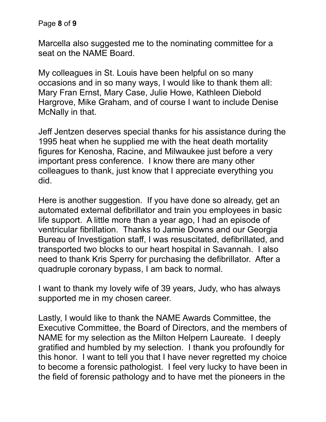Marcella also suggested me to the nominating committee for a seat on the NAME Board.

My colleagues in St. Louis have been helpful on so many occasions and in so many ways, I would like to thank them all: Mary Fran Ernst, Mary Case, Julie Howe, Kathleen Diebold Hargrove, Mike Graham, and of course I want to include Denise McNally in that.

Jeff Jentzen deserves special thanks for his assistance during the 1995 heat when he supplied me with the heat death mortality figures for Kenosha, Racine, and Milwaukee just before a very important press conference. I know there are many other colleagues to thank, just know that I appreciate everything you did.

Here is another suggestion. If you have done so already, get an automated external defibrillator and train you employees in basic life support. A little more than a year ago, I had an episode of ventricular fibrillation. Thanks to Jamie Downs and our Georgia Bureau of Investigation staff, I was resuscitated, defibrillated, and transported two blocks to our heart hospital in Savannah. I also need to thank Kris Sperry for purchasing the defibrillator. After a quadruple coronary bypass, I am back to normal.

I want to thank my lovely wife of 39 years, Judy, who has always supported me in my chosen career.

Lastly, I would like to thank the NAME Awards Committee, the Executive Committee, the Board of Directors, and the members of NAME for my selection as the Milton Helpern Laureate. I deeply gratified and humbled by my selection. I thank you profoundly for this honor. I want to tell you that I have never regretted my choice to become a forensic pathologist. I feel very lucky to have been in the field of forensic pathology and to have met the pioneers in the